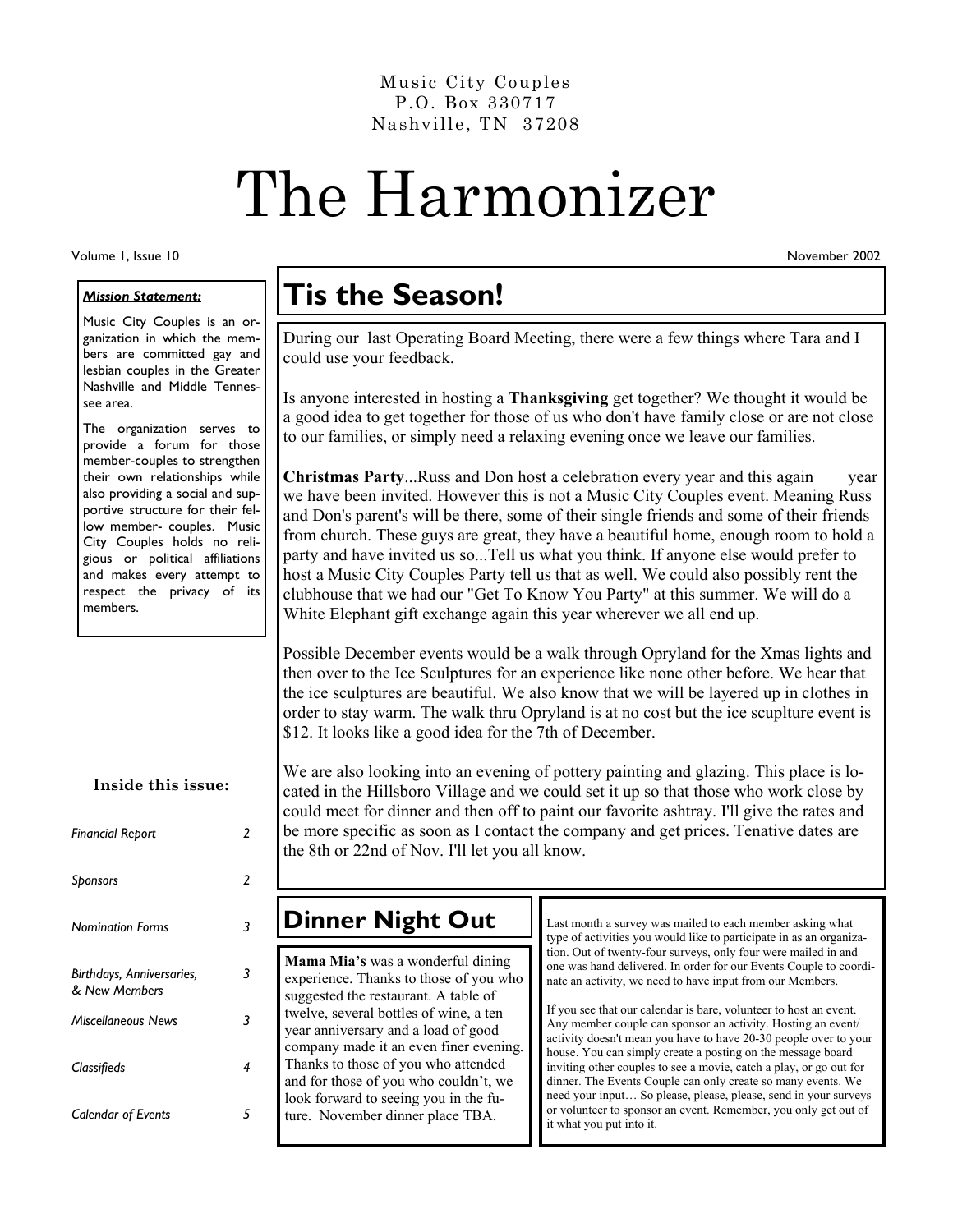Nashville, TN 37208 Music City Couples P.O. Box 330717

# The Harmonizer

Volume 1, Issue 10

#### *Mission Statement:*

Music City Couples is an organization in which the members are committed gay and lesbian couples in the Greater Nashville and Middle Tennessee area.

The organization serves to provide a forum for those member-couples to strengthen their own relationships while also providing a social and supportive structure for their fellow member- couples. Music City Couples holds no religious or political affiliations and makes every attempt to respect the privacy of its members.

**Inside this issue:** 

| <b>Financial Report</b>                    | 2 |
|--------------------------------------------|---|
| Sponsors                                   | 2 |
| <b>Nomination Forms</b>                    | 3 |
| Birthdays, Anniversaries,<br>& New Members | 3 |
| <b>Miscellaneous News</b>                  | 3 |
| Classifieds                                | 4 |
| <b>Calendar of Events</b>                  | 5 |

## **Tis the Season!**

During our last Operating Board Meeting, there were a few things where Tara and I could use your feedback.

Is anyone interested in hosting a **Thanksgiving** get together? We thought it would be a good idea to get together for those of us who don't have family close or are not close to our families, or simply need a relaxing evening once we leave our families.

**Christmas Party**...Russ and Don host a celebration every year and this again year we have been invited. However this is not a Music City Couples event. Meaning Russ and Don's parent's will be there, some of their single friends and some of their friends from church. These guys are great, they have a beautiful home, enough room to hold a party and have invited us so...Tell us what you think. If anyone else would prefer to host a Music City Couples Party tell us that as well. We could also possibly rent the clubhouse that we had our "Get To Know You Party" at this summer. We will do a White Elephant gift exchange again this year wherever we all end up.

Possible December events would be a walk through Opryland for the Xmas lights and then over to the Ice Sculptures for an experience like none other before. We hear that the ice sculptures are beautiful. We also know that we will be layered up in clothes in order to stay warm. The walk thru Opryland is at no cost but the ice scuplture event is \$12. It looks like a good idea for the 7th of December.

We are also looking into an evening of pottery painting and glazing. This place is located in the Hillsboro Village and we could set it up so that those who work close by could meet for dinner and then off to paint our favorite ashtray. I'll give the rates and be more specific as soon as I contact the company and get prices. Tenative dates are the 8th or 22nd of Nov. I'll let you all know.

### **Dinner Night Out**

**Mama Mia's** was a wonderful dining experience. Thanks to those of you who suggested the restaurant. A table of twelve, several bottles of wine, a ten year anniversary and a load of good company made it an even finer evening. Thanks to those of you who attended and for those of you who couldn't, we look forward to seeing you in the future. November dinner place TBA.

Last month a survey was mailed to each member asking what type of activities you would like to participate in as an organization. Out of twenty-four surveys, only four were mailed in and one was hand delivered. In order for our Events Couple to coordinate an activity, we need to have input from our Members.

If you see that our calendar is bare, volunteer to host an event. Any member couple can sponsor an activity. Hosting an event/ activity doesn't mean you have to have 20-30 people over to your house. You can simply create a posting on the message board inviting other couples to see a movie, catch a play, or go out for dinner. The Events Couple can only create so many events. We need your input… So please, please, please, send in your surveys or volunteer to sponsor an event. Remember, you only get out of it what you put into it.

November 2002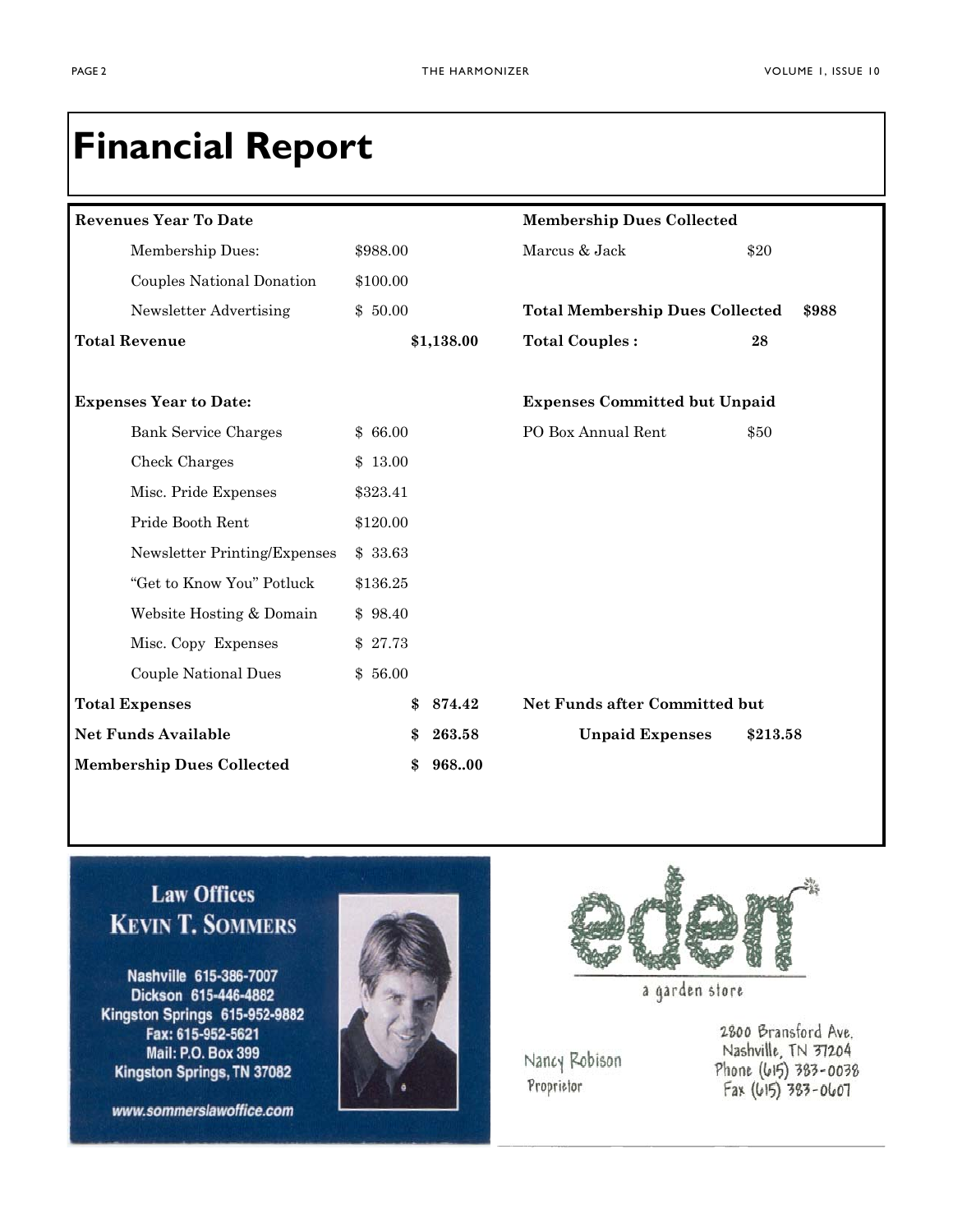# **Financial Report**

| <b>Revenues Year To Date</b>     |          |            | <b>Membership Dues Collected</b>       |          |
|----------------------------------|----------|------------|----------------------------------------|----------|
| Membership Dues:                 | \$988.00 |            | Marcus & Jack                          | \$20     |
| Couples National Donation        | \$100.00 |            |                                        |          |
| Newsletter Advertising           | \$50.00  |            | <b>Total Membership Dues Collected</b> | \$988    |
| <b>Total Revenue</b>             |          | \$1,138.00 | <b>Total Couples:</b>                  | 28       |
| <b>Expenses Year to Date:</b>    |          |            | <b>Expenses Committed but Unpaid</b>   |          |
| <b>Bank Service Charges</b>      | \$66.00  |            | PO Box Annual Rent                     | \$50     |
| Check Charges                    | \$13.00  |            |                                        |          |
| Misc. Pride Expenses             | \$323.41 |            |                                        |          |
| Pride Booth Rent                 | \$120.00 |            |                                        |          |
| Newsletter Printing/Expenses     | \$33.63  |            |                                        |          |
| "Get to Know You" Potluck        | \$136.25 |            |                                        |          |
| Website Hosting & Domain         | \$98.40  |            |                                        |          |
| Misc. Copy Expenses              | \$27.73  |            |                                        |          |
| <b>Couple National Dues</b>      | \$56.00  |            |                                        |          |
| <b>Total Expenses</b>            | \$       | 874.42     | Net Funds after Committed but          |          |
| <b>Net Funds Available</b>       |          | 263.58     | <b>Unpaid Expenses</b>                 | \$213.58 |
| <b>Membership Dues Collected</b> |          | 96800      |                                        |          |

### **Law Offices KEVIN T. SOMMERS**

Nashville 615-386-7007 Dickson 615-446-4882 Kingston Springs 615-952-9882 Fax: 615-952-5621 Mail: P.O. Box 399 Kingston Springs, TN 37082

www.sommerslawoffice.com





a garden store

Nancy Robison Proprietor

2800 Bransford Ave. Nashville, TN 37204 Phone (615) 383-0038  $Fax (615) 383 - 0607$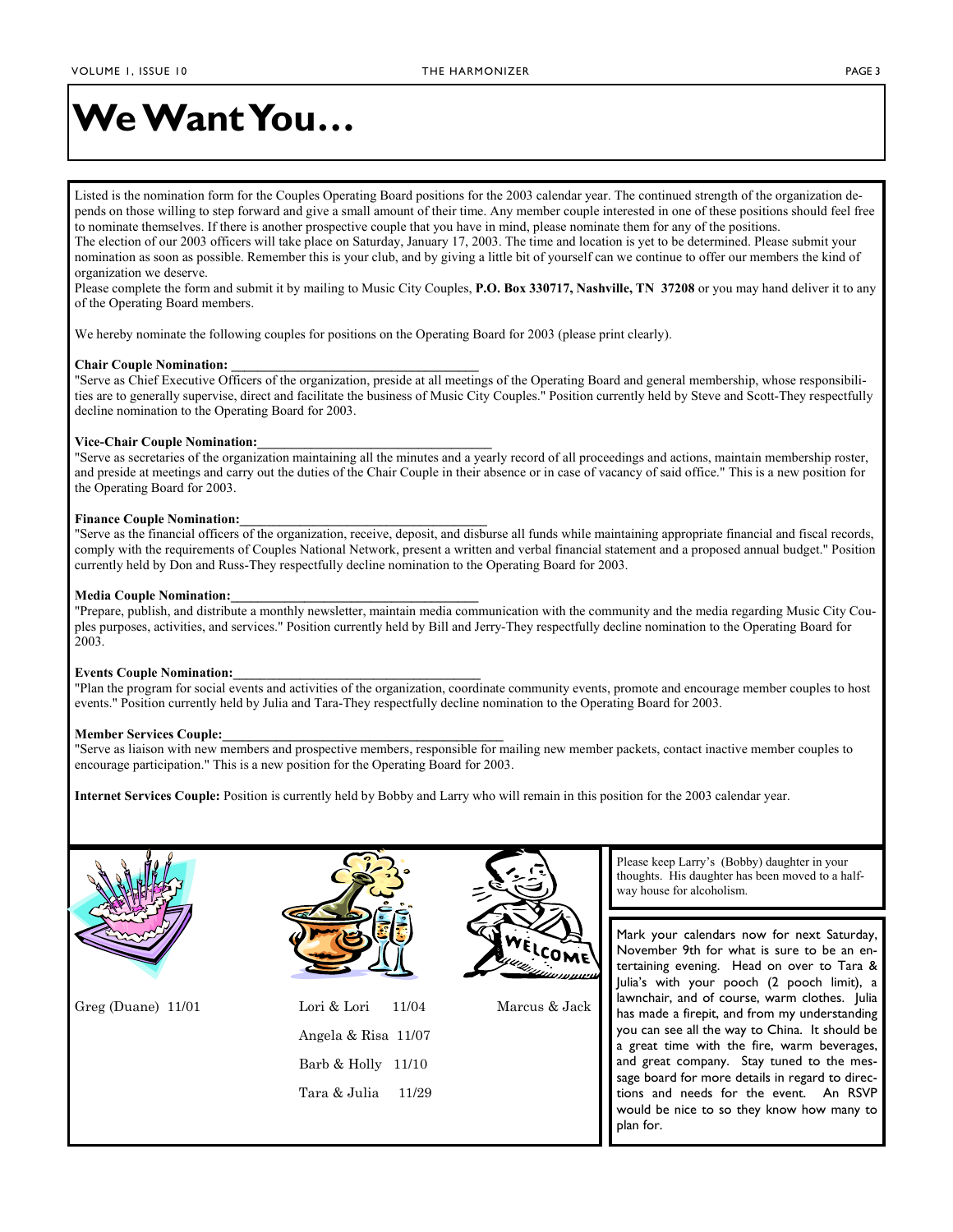# **We Want You…**

Listed is the nomination form for the Couples Operating Board positions for the 2003 calendar year. The continued strength of the organization depends on those willing to step forward and give a small amount of their time. Any member couple interested in one of these positions should feel free to nominate themselves. If there is another prospective couple that you have in mind, please nominate them for any of the positions. The election of our 2003 officers will take place on Saturday, January 17, 2003. The time and location is yet to be determined. Please submit your nomination as soon as possible. Remember this is your club, and by giving a little bit of yourself can we continue to offer our members the kind of organization we deserve.

Please complete the form and submit it by mailing to Music City Couples, **P.O. Box 330717, Nashville, TN 37208** or you may hand deliver it to any of the Operating Board members.

We hereby nominate the following couples for positions on the Operating Board for 2003 (please print clearly).

#### **Chair Couple Nomination: \_\_\_\_\_\_\_\_\_\_\_\_\_\_\_\_\_\_\_\_\_\_\_\_\_\_\_\_\_\_\_\_\_\_\_\_\_**

"Serve as Chief Executive Officers of the organization, preside at all meetings of the Operating Board and general membership, whose responsibilities are to generally supervise, direct and facilitate the business of Music City Couples." Position currently held by Steve and Scott-They respectfully decline nomination to the Operating Board for 2003.

#### **Vice-Chair Couple Nomination:\_\_\_\_\_\_\_\_\_\_\_\_\_\_\_\_\_\_\_\_\_\_\_\_\_\_\_\_\_\_\_\_\_\_\_**

"Serve as secretaries of the organization maintaining all the minutes and a yearly record of all proceedings and actions, maintain membership roster, and preside at meetings and carry out the duties of the Chair Couple in their absence or in case of vacancy of said office." This is a new position for the Operating Board for 2003.

#### **Finance Couple Nomination:\_\_\_\_\_\_\_\_\_\_\_\_\_\_\_\_\_\_\_\_\_\_\_\_\_\_\_\_\_\_\_\_\_\_\_\_\_**

"Serve as the financial officers of the organization, receive, deposit, and disburse all funds while maintaining appropriate financial and fiscal records, comply with the requirements of Couples National Network, present a written and verbal financial statement and a proposed annual budget." Position currently held by Don and Russ-They respectfully decline nomination to the Operating Board for 2003.

#### **Media Couple Nomination:\_\_\_\_\_\_\_\_\_\_\_\_\_\_\_\_\_\_\_\_\_\_\_\_\_\_\_\_\_\_\_\_\_\_\_\_\_**

"Prepare, publish, and distribute a monthly newsletter, maintain media communication with the community and the media regarding Music City Couples purposes, activities, and services." Position currently held by Bill and Jerry-They respectfully decline nomination to the Operating Board for 2003.

#### **Events Couple Nomination:\_\_\_\_\_\_\_\_\_\_\_\_\_\_\_\_\_\_\_\_\_\_\_\_\_\_\_\_\_\_\_\_\_\_\_\_\_**

"Plan the program for social events and activities of the organization, coordinate community events, promote and encourage member couples to host events." Position currently held by Julia and Tara-They respectfully decline nomination to the Operating Board for 2003.

#### **Member Services Couple:\_\_\_\_\_\_\_\_\_\_\_\_\_\_\_\_\_\_\_\_\_\_\_\_\_\_\_\_\_\_\_\_\_\_\_\_\_\_\_\_\_\_**

"Serve as liaison with new members and prospective members, responsible for mailing new member packets, contact inactive member couples to encourage participation." This is a new position for the Operating Board for 2003.

**Internet Services Couple:** Position is currently held by Bobby and Larry who will remain in this position for the 2003 calendar year.





| Greg (Duane) 11/01 | Lori $\&$ Lori 11/04   |
|--------------------|------------------------|
|                    | Angela & Risa 11/07    |
|                    | Barb $&$ Holly $11/10$ |
|                    | Tara & Julia $11/29$   |
|                    |                        |



Greg (Duane) 11/01 Lori & Lori 11/04 Marcus & Jack

Please keep Larry's (Bobby) daughter in your thoughts. His daughter has been moved to a halfway house for alcoholism.

Mark your calendars now for next Saturday, November 9th for what is sure to be an entertaining evening. Head on over to Tara & Julia's with your pooch (2 pooch limit), a lawnchair, and of course, warm clothes. Julia has made a firepit, and from my understanding you can see all the way to China. It should be a great time with the fire, warm beverages, and great company. Stay tuned to the message board for more details in regard to directions and needs for the event. An RSVP would be nice to so they know how many to plan for.